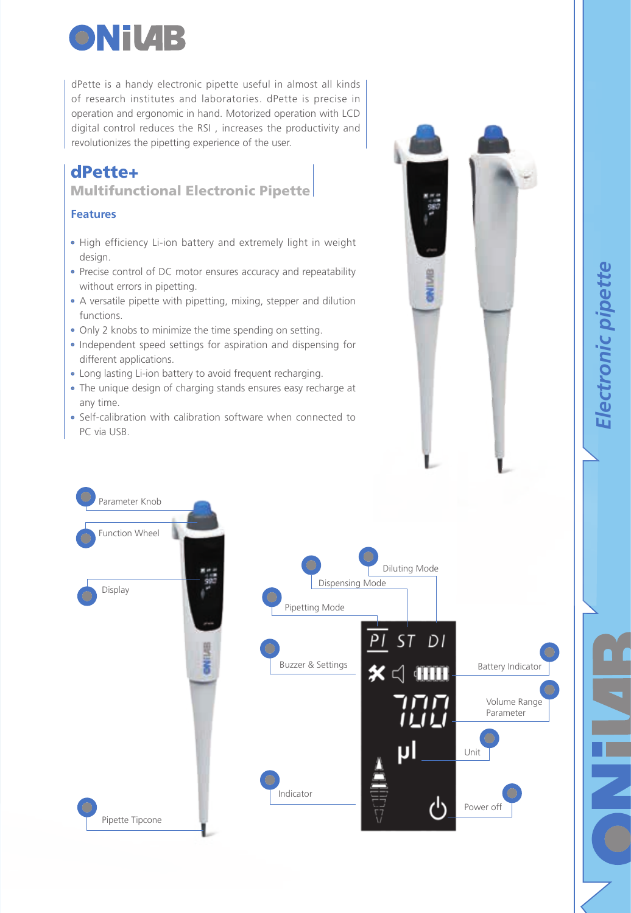

dPette is a handy electronic pipette useful in almost all kinds of research institutes and laboratories. dPette is precise in operation and ergonomic in hand. Motorized operation with LCD digital control reduces the RSI , increases the productivity and revolutionizes the pipetting experience of the user.

## dPette+

Multifunctional Electronic Pipette

## **Features**

- High efficiency Li-ion battery and extremely light in weight design.
- Precise control of DC motor ensures accuracy and repeatability without errors in pipetting.
- A versatile pipette with pipetting, mixing, stepper and dilution functions.
- Only 2 knobs to minimize the time spending on setting.
- Independent speed settings for aspiration and dispensing for different applications.
- Long lasting Li-ion battery to avoid frequent recharging.
- The unique design of charging stands ensures easy recharge at any time.
- Self-calibration with calibration software when connected to PC via USB.